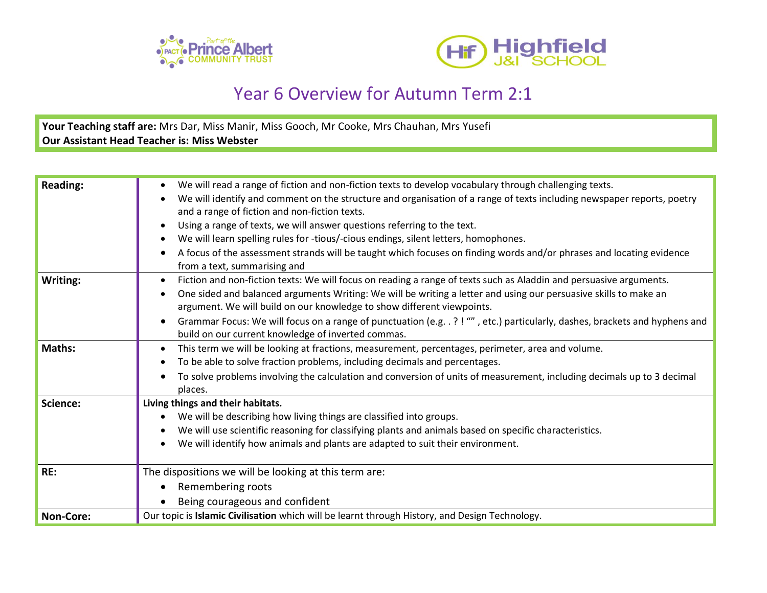



## Year 6 Overview for Autumn Term 2:1

**Your Teaching staff are:** Mrs Dar, Miss Manir, Miss Gooch, Mr Cooke, Mrs Chauhan, Mrs Yusefi **Our Assistant Head Teacher is: Miss Webster**

| <b>Reading:</b>  | We will read a range of fiction and non-fiction texts to develop vocabulary through challenging texts.<br>We will identify and comment on the structure and organisation of a range of texts including newspaper reports, poetry<br>and a range of fiction and non-fiction texts.<br>Using a range of texts, we will answer questions referring to the text.<br>We will learn spelling rules for -tious/-cious endings, silent letters, homophones.<br>A focus of the assessment strands will be taught which focuses on finding words and/or phrases and locating evidence<br>from a text, summarising and |
|------------------|-------------------------------------------------------------------------------------------------------------------------------------------------------------------------------------------------------------------------------------------------------------------------------------------------------------------------------------------------------------------------------------------------------------------------------------------------------------------------------------------------------------------------------------------------------------------------------------------------------------|
| Writing:         | Fiction and non-fiction texts: We will focus on reading a range of texts such as Aladdin and persuasive arguments.<br>One sided and balanced arguments Writing: We will be writing a letter and using our persuasive skills to make an<br>argument. We will build on our knowledge to show different viewpoints.<br>Grammar Focus: We will focus on a range of punctuation (e.g. .?! "", etc.) particularly, dashes, brackets and hyphens and<br>build on our current knowledge of inverted commas.                                                                                                         |
| Maths:           | This term we will be looking at fractions, measurement, percentages, perimeter, area and volume.<br>To be able to solve fraction problems, including decimals and percentages.<br>To solve problems involving the calculation and conversion of units of measurement, including decimals up to 3 decimal<br>places.                                                                                                                                                                                                                                                                                         |
| Science:         | Living things and their habitats.<br>We will be describing how living things are classified into groups.<br>We will use scientific reasoning for classifying plants and animals based on specific characteristics.<br>We will identify how animals and plants are adapted to suit their environment.                                                                                                                                                                                                                                                                                                        |
| RE:              | The dispositions we will be looking at this term are:<br>Remembering roots<br>Being courageous and confident                                                                                                                                                                                                                                                                                                                                                                                                                                                                                                |
| <b>Non-Core:</b> | Our topic is Islamic Civilisation which will be learnt through History, and Design Technology.                                                                                                                                                                                                                                                                                                                                                                                                                                                                                                              |